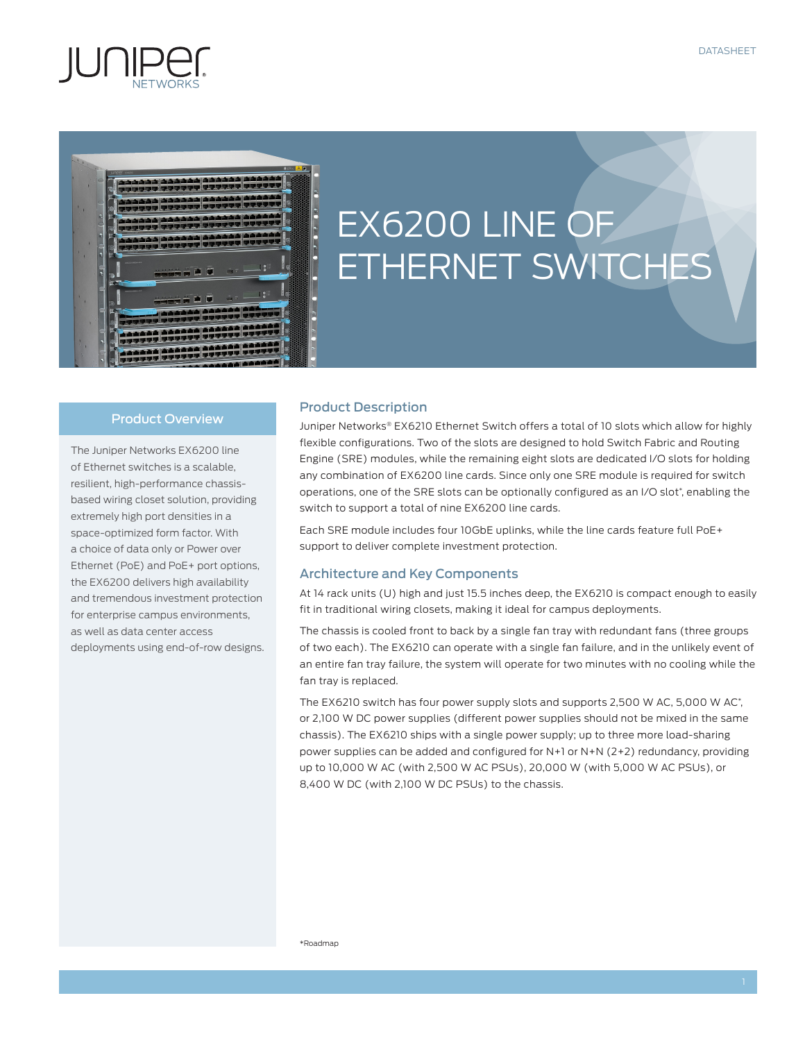



# EX6200 LINE OF ETHERNET SWITCHES

#### Product Overview

The Juniper Networks EX6200 line of Ethernet switches is a scalable, resilient, high-performance chassisbased wiring closet solution, providing extremely high port densities in a space-optimized form factor. With a choice of data only or Power over Ethernet (PoE) and PoE+ port options, the EX6200 delivers high availability and tremendous investment protection for enterprise campus environments, as well as data center access deployments using end-of-row designs.

# Product Description

Juniper Networks® EX6210 Ethernet Switch offers a total of 10 slots which allow for highly flexible configurations. Two of the slots are designed to hold Switch Fabric and Routing Engine (SRE) modules, while the remaining eight slots are dedicated I/O slots for holding any combination of EX6200 line cards. Since only one SRE module is required for switch operations, one of the SRE slots can be optionally configured as an I/O slot\* , enabling the switch to support a total of nine EX6200 line cards.

Each SRE module includes four 10GbE uplinks, while the line cards feature full PoE+ support to deliver complete investment protection.

#### Architecture and Key Components

At 14 rack units (U) high and just 15.5 inches deep, the EX6210 is compact enough to easily fit in traditional wiring closets, making it ideal for campus deployments.

The chassis is cooled front to back by a single fan tray with redundant fans (three groups of two each). The EX6210 can operate with a single fan failure, and in the unlikely event of an entire fan tray failure, the system will operate for two minutes with no cooling while the fan tray is replaced.

The EX6210 switch has four power supply slots and supports 2,500 W AC, 5,000 W AC\* , or 2,100 W DC power supplies (different power supplies should not be mixed in the same chassis). The EX6210 ships with a single power supply; up to three more load-sharing power supplies can be added and configured for N+1 or N+N (2+2) redundancy, providing up to 10,000 W AC (with 2,500 W AC PSUs), 20,000 W (with 5,000 W AC PSUs), or 8,400 W DC (with 2,100 W DC PSUs) to the chassis.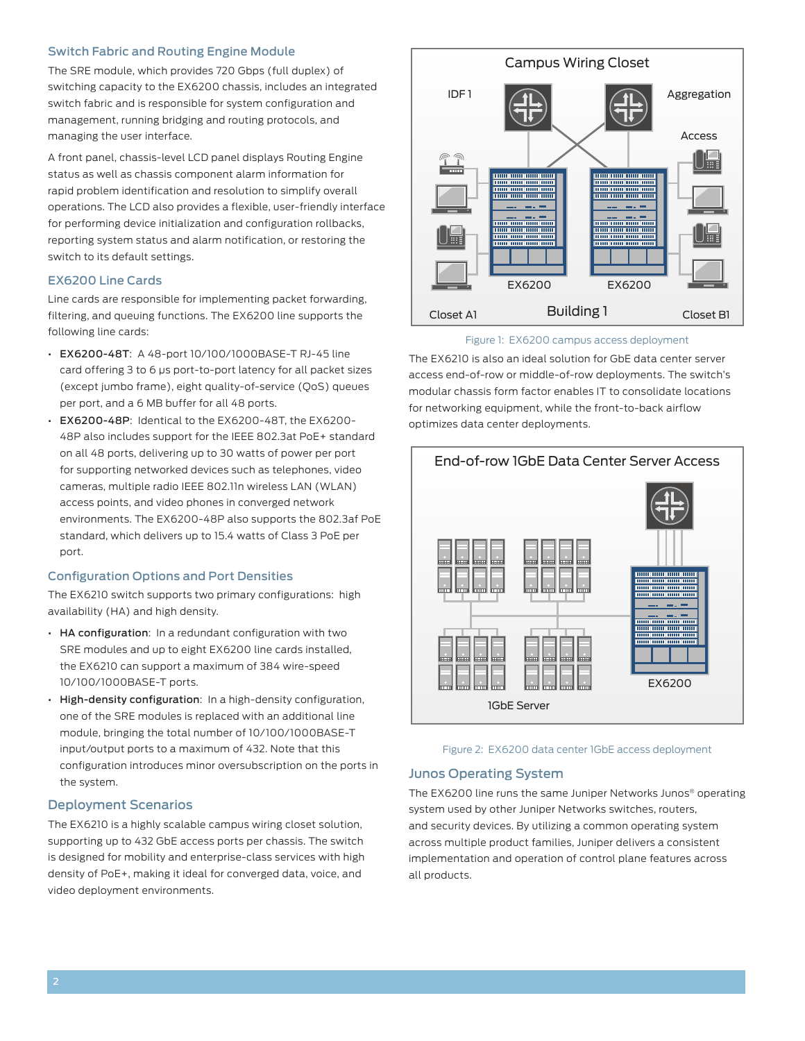#### Switch Fabric and Routing Engine Module

The SRE module, which provides 720 Gbps (full duplex) of switching capacity to the EX6200 chassis, includes an integrated switch fabric and is responsible for system configuration and management, running bridging and routing protocols, and managing the user interface.

A front panel, chassis-level LCD panel displays Routing Engine status as well as chassis component alarm information for rapid problem identification and resolution to simplify overall operations. The LCD also provides a flexible, user-friendly interface for performing device initialization and configuration rollbacks, reporting system status and alarm notification, or restoring the switch to its default settings.

#### EX6200 Line Cards

Line cards are responsible for implementing packet forwarding, filtering, and queuing functions. The EX6200 line supports the following line cards:

- EX6200-48T: A 48-port 10/100/1000BASE-T RJ-45 line card offering 3 to 6 μs port-to-port latency for all packet sizes (except jumbo frame), eight quality-of-service (QoS) queues per port, and a 6 MB buffer for all 48 ports.
- EX6200-48P: Identical to the EX6200-48T, the EX6200- 48P also includes support for the IEEE 802.3at PoE+ standard on all 48 ports, delivering up to 30 watts of power per port for supporting networked devices such as telephones, video cameras, multiple radio IEEE 802.11n wireless LAN (WLAN) access points, and video phones in converged network environments. The EX6200-48P also supports the 802.3af PoE standard, which delivers up to 15.4 watts of Class 3 PoE per port.

#### Configuration Options and Port Densities

The EX6210 switch supports two primary configurations: high availability (HA) and high density.

- HA configuration: In a redundant configuration with two SRE modules and up to eight EX6200 line cards installed, the EX6210 can support a maximum of 384 wire-speed 10/100/1000BASE-T ports.
- High-density configuration: In a high-density configuration, one of the SRE modules is replaced with an additional line module, bringing the total number of 10/100/1000BASE-T input/output ports to a maximum of 432. Note that this configuration introduces minor oversubscription on the ports in the system.

#### Deployment Scenarios

The EX6210 is a highly scalable campus wiring closet solution, supporting up to 432 GbE access ports per chassis. The switch is designed for mobility and enterprise-class services with high density of PoE+, making it ideal for converged data, voice, and video deployment environments.



#### Figure 1: EX6200 campus access deployment

The EX6210 is also an ideal solution for GbE data center server access end-of-row or middle-of-row deployments. The switch's modular chassis form factor enables IT to consolidate locations for networking equipment, while the front-to-back airflow optimizes data center deployments.





#### Junos Operating System

The EX6200 line runs the same Juniper Networks Junos® operating system used by other Juniper Networks switches, routers, and security devices. By utilizing a common operating system across multiple product families, Juniper delivers a consistent implementation and operation of control plane features across all products.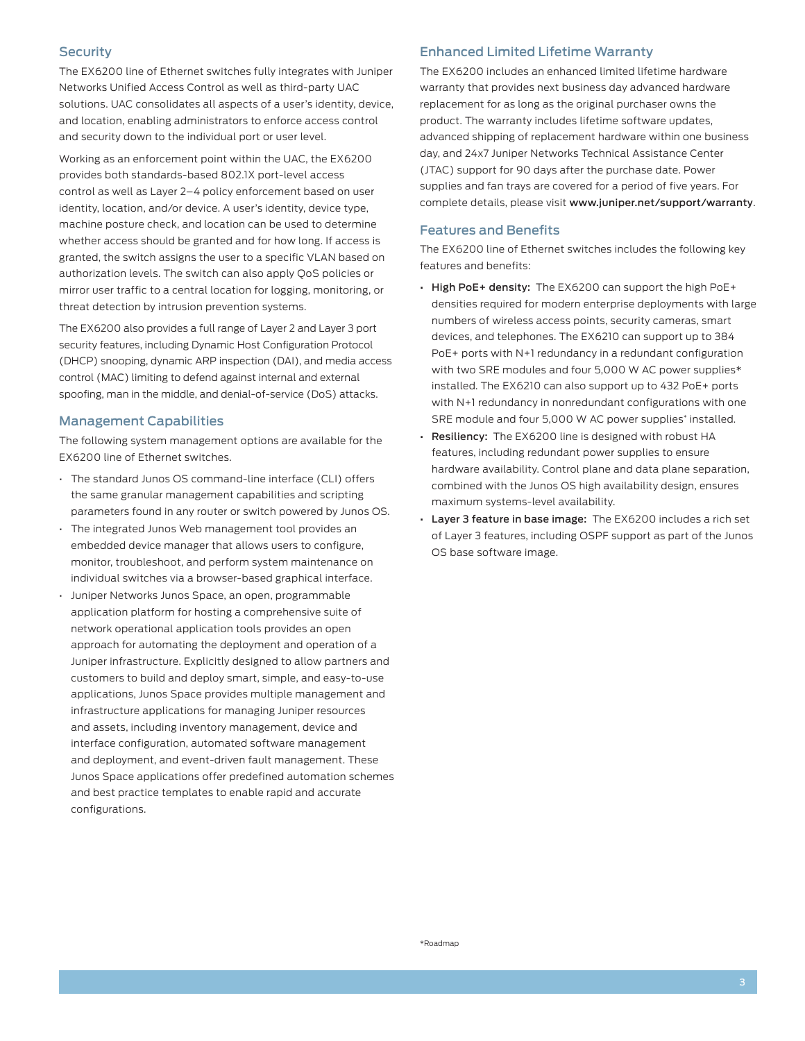#### **Security**

The EX6200 line of Ethernet switches fully integrates with Juniper Networks Unified Access Control as well as third-party UAC solutions. UAC consolidates all aspects of a user's identity, device, and location, enabling administrators to enforce access control and security down to the individual port or user level.

Working as an enforcement point within the UAC, the EX6200 provides both standards-based 802.1X port-level access control as well as Layer 2–4 policy enforcement based on user identity, location, and/or device. A user's identity, device type, machine posture check, and location can be used to determine whether access should be granted and for how long. If access is granted, the switch assigns the user to a specific VLAN based on authorization levels. The switch can also apply QoS policies or mirror user traffic to a central location for logging, monitoring, or threat detection by intrusion prevention systems.

The EX6200 also provides a full range of Layer 2 and Layer 3 port security features, including Dynamic Host Configuration Protocol (DHCP) snooping, dynamic ARP inspection (DAI), and media access control (MAC) limiting to defend against internal and external spoofing, man in the middle, and denial-of-service (DoS) attacks.

#### Management Capabilities

The following system management options are available for the EX6200 line of Ethernet switches.

- The standard Junos OS command-line interface (CLI) offers the same granular management capabilities and scripting parameters found in any router or switch powered by Junos OS.
- The integrated Junos Web management tool provides an embedded device manager that allows users to configure, monitor, troubleshoot, and perform system maintenance on individual switches via a browser-based graphical interface.
- Juniper Networks Junos Space, an open, programmable application platform for hosting a comprehensive suite of network operational application tools provides an open approach for automating the deployment and operation of a Juniper infrastructure. Explicitly designed to allow partners and customers to build and deploy smart, simple, and easy-to-use applications, Junos Space provides multiple management and infrastructure applications for managing Juniper resources and assets, including inventory management, device and interface configuration, automated software management and deployment, and event-driven fault management. These Junos Space applications offer predefined automation schemes and best practice templates to enable rapid and accurate configurations.

#### Enhanced Limited Lifetime Warranty

The EX6200 includes an enhanced limited lifetime hardware warranty that provides next business day advanced hardware replacement for as long as the original purchaser owns the product. The warranty includes lifetime software updates, advanced shipping of replacement hardware within one business day, and 24x7 Juniper Networks Technical Assistance Center (JTAC) support for 90 days after the purchase date. Power supplies and fan trays are covered for a period of five years. For complete details, please visit www.juniper.net/support/warranty.

#### Features and Benefits

The EX6200 line of Ethernet switches includes the following key features and benefits:

- High PoE+ density: The EX6200 can support the high PoE+ densities required for modern enterprise deployments with large numbers of wireless access points, security cameras, smart devices, and telephones. The EX6210 can support up to 384 PoE+ ports with N+1 redundancy in a redundant configuration with two SRE modules and four 5,000 W AC power supplies\* installed. The EX6210 can also support up to 432 PoE+ ports with N+1 redundancy in nonredundant configurations with one SRE module and four 5,000 W AC power supplies\* installed.
- Resiliency: The EX6200 line is designed with robust HA features, including redundant power supplies to ensure hardware availability. Control plane and data plane separation, combined with the Junos OS high availability design, ensures maximum systems-level availability.
- Layer 3 feature in base image: The EX6200 includes a rich set of Layer 3 features, including OSPF support as part of the Junos OS base software image.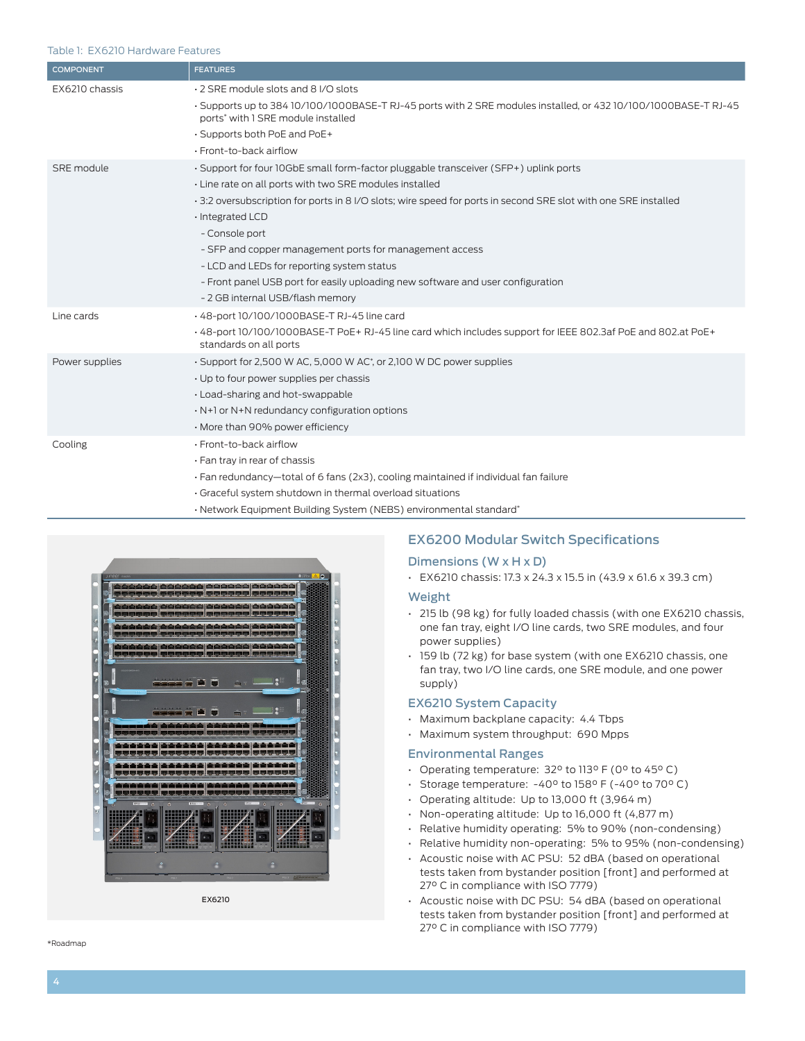#### Table 1: EX6210 Hardware Features

| <b>COMPONENT</b> | <b>FEATURES</b>                                                                                                                                       |
|------------------|-------------------------------------------------------------------------------------------------------------------------------------------------------|
| EX6210 chassis   | 2 SRE module slots and 8 I/O slots                                                                                                                    |
|                  | - Supports up to 384 10/100/1000BASE-T RJ-45 ports with 2 SRE modules installed, or 432 10/100/1000BASE-T RJ-45<br>ports* with 1 SRE module installed |
|                  | . Supports both PoE and PoE+                                                                                                                          |
|                  | · Front-to-back airflow                                                                                                                               |
| SRE module       | · Support for four 10GbE small form-factor pluggable transceiver (SFP+) uplink ports                                                                  |
|                  | · Line rate on all ports with two SRE modules installed                                                                                               |
|                  | 3:2 oversubscription for ports in 8 I/O slots; wire speed for ports in second SRE slot with one SRE installed                                         |
|                  | · Integrated LCD                                                                                                                                      |
|                  | - Console port                                                                                                                                        |
|                  | - SFP and copper management ports for management access                                                                                               |
|                  | - LCD and LEDs for reporting system status                                                                                                            |
|                  | - Front panel USB port for easily uploading new software and user configuration                                                                       |
|                  | - 2 GB internal USB/flash memory                                                                                                                      |
| Line cards       | . 48-port 10/100/1000BASE-T RJ-45 line card                                                                                                           |
|                  | +48-port 10/100/1000BASE-T PoE+RJ-45 line card which includes support for IEEE 802.3af PoE and 802.at PoE+<br>standards on all ports                  |
| Power supplies   | · Support for 2,500 W AC, 5,000 W AC*, or 2,100 W DC power supplies                                                                                   |
|                  | . Up to four power supplies per chassis                                                                                                               |
|                  | . Load-sharing and hot-swappable                                                                                                                      |
|                  | . N+1 or N+N redundancy configuration options                                                                                                         |
|                  | · More than 90% power efficiency                                                                                                                      |
| Cooling          | · Front-to-back airflow                                                                                                                               |
|                  | · Fan tray in rear of chassis                                                                                                                         |
|                  | . Fan redundancy-total of 6 fans (2x3), cooling maintained if individual fan failure                                                                  |
|                  | · Graceful system shutdown in thermal overload situations                                                                                             |
|                  | · Network Equipment Building System (NEBS) environmental standard*                                                                                    |



EX6210

# EX6200 Modular Switch Specifications

#### Dimensions (W x H x D)

• EX6210 chassis: 17.3 x 24.3 x 15.5 in (43.9 x 61.6 x 39.3 cm)

- Weight
- 215 lb (98 kg) for fully loaded chassis (with one EX6210 chassis, one fan tray, eight I/O line cards, two SRE modules, and four power supplies)
- 159 lb (72 kg) for base system (with one EX6210 chassis, one fan tray, two I/O line cards, one SRE module, and one power supply)

#### EX6210 System Capacity

- Maximum backplane capacity: 4.4 Tbps
- Maximum system throughput: 690 Mpps

#### Environmental Ranges

- Operating temperature: 32° to 113° F (0° to 45° C)
- Storage temperature: -40° to 158° F (-40° to 70° C)
- Operating altitude: Up to 13,000 ft (3,964 m)
- Non-operating altitude: Up to 16,000 ft (4,877 m)
- Relative humidity operating: 5% to 90% (non-condensing)
- Relative humidity non-operating: 5% to 95% (non-condensing)
- Acoustic noise with AC PSU: 52 dBA (based on operational tests taken from bystander position [front] and performed at 27° C in compliance with ISO 7779)
- Acoustic noise with DC PSU: 54 dBA (based on operational tests taken from bystander position [front] and performed at 27° C in compliance with ISO 7779)

\*Roadmap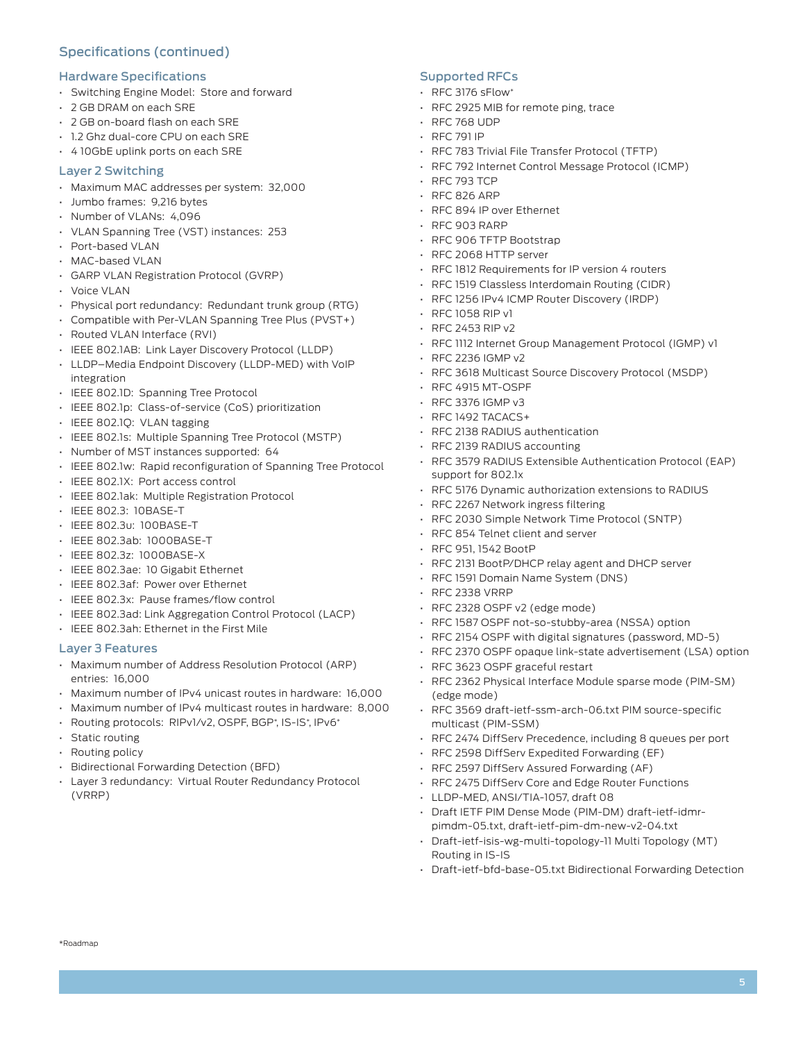# Specifications (continued)

#### Hardware Specifications

- Switching Engine Model: Store and forward
- 2 GB DRAM on each SRE
- 2 GB on-board flash on each SRE
- 1.2 Ghz dual-core CPU on each SRE
- 4 10GbE uplink ports on each SRE

#### Layer 2 Switching

- Maximum MAC addresses per system: 32,000
- Jumbo frames: 9,216 bytes
- Number of VLANs: 4,096
- VLAN Spanning Tree (VST) instances: 253
- Port-based VLAN
- MAC-based VLAN
- GARP VLAN Registration Protocol (GVRP)
- Voice VLAN
- Physical port redundancy: Redundant trunk group (RTG)
- Compatible with Per-VLAN Spanning Tree Plus (PVST+)
- Routed VLAN Interface (RVI)
- IEEE 802.1AB: Link Layer Discovery Protocol (LLDP)
- LLDP–Media Endpoint Discovery (LLDP-MED) with VoIP integration
- IEEE 802.1D: Spanning Tree Protocol
- IEEE 802.1p: Class-of-service (CoS) prioritization
- IEEE 802.1Q: VLAN tagging
- IEEE 802.1s: Multiple Spanning Tree Protocol (MSTP)
- Number of MST instances supported: 64
- IEEE 802.1w: Rapid reconfiguration of Spanning Tree Protocol
- IEEE 802.1X: Port access control
- IEEE 802.1ak: Multiple Registration Protocol
- IEEE 802.3: 10BASE-T
- IEEE 802.3u: 100BASE-T
- IEEE 802.3ab: 1000BASE-T
- IEEE 802.3z: 1000BASE-X
- IEEE 802.3ae: 10 Gigabit Ethernet
- IEEE 802.3af: Power over Ethernet
- IEEE 802.3x: Pause frames/flow control
- IEEE 802.3ad: Link Aggregation Control Protocol (LACP)
- IEEE 802.3ah: Ethernet in the First Mile

#### Layer 3 Features

- Maximum number of Address Resolution Protocol (ARP) entries: 16,000
- Maximum number of IPv4 unicast routes in hardware: 16,000
- Maximum number of IPv4 multicast routes in hardware: 8,000
- Routing protocols: RIPv1/v2, OSPF, BGP\*, IS-IS\*, IPv6\*
- Static routing
- Routing policy
- Bidirectional Forwarding Detection (BFD)
- Layer 3 redundancy: Virtual Router Redundancy Protocol (VRRP)

# Supported RFCs

- RFC 3176 sFlow\*
- RFC 2925 MIB for remote ping, trace
- RFC 768 UDP
- RFC 791 IP
- RFC 783 Trivial File Transfer Protocol (TFTP)
- RFC 792 Internet Control Message Protocol (ICMP)
- RFC 793 TCP
- RFC 826 ARP
- RFC 894 IP over Ethernet
- RFC 903 RARP
- RFC 906 TFTP Bootstrap
- RFC 2068 HTTP server
- RFC 1812 Requirements for IP version 4 routers
- RFC 1519 Classless Interdomain Routing (CIDR)
- RFC 1256 IPv4 ICMP Router Discovery (IRDP)
- RFC 1058 RIP v1
- RFC 2453 RIP v2
- RFC 1112 Internet Group Management Protocol (IGMP) v1
- RFC 2236 IGMP v2
- RFC 3618 Multicast Source Discovery Protocol (MSDP)
- RFC 4915 MT-OSPF
- RFC 3376 IGMP v3
- RFC 1492 TACACS+
- RFC 2138 RADIUS authentication
- RFC 2139 RADIUS accounting
- RFC 3579 RADIUS Extensible Authentication Protocol (EAP) support for 802.1x
- RFC 5176 Dynamic authorization extensions to RADIUS
- RFC 2267 Network ingress filtering
- RFC 2030 Simple Network Time Protocol (SNTP)
- RFC 854 Telnet client and server
- RFC 951, 1542 BootP
- RFC 2131 BootP/DHCP relay agent and DHCP server
- RFC 1591 Domain Name System (DNS)
- RFC 2338 VRRP
- RFC 2328 OSPF v2 (edge mode)
- RFC 1587 OSPF not-so-stubby-area (NSSA) option
- RFC 2154 OSPF with digital signatures (password, MD-5)
- RFC 2370 OSPF opaque link-state advertisement (LSA) option
- RFC 3623 OSPF graceful restart
- RFC 2362 Physical Interface Module sparse mode (PIM-SM) (edge mode)
- RFC 3569 draft-ietf-ssm-arch-06.txt PIM source-specific multicast (PIM-SSM)
- RFC 2474 DiffServ Precedence, including 8 queues per port
- RFC 2598 DiffServ Expedited Forwarding (EF)
- RFC 2597 DiffServ Assured Forwarding (AF)
- RFC 2475 DiffServ Core and Edge Router Functions
- LLDP-MED, ANSI/TIA-1057, draft 08
- Draft IETF PIM Dense Mode (PIM-DM) draft-ietf-idmrpimdm-05.txt, draft-ietf-pim-dm-new-v2-04.txt
- Draft-ietf-isis-wg-multi-topology-11 Multi Topology (MT) Routing in IS-IS
- Draft-ietf-bfd-base-05.txt Bidirectional Forwarding Detection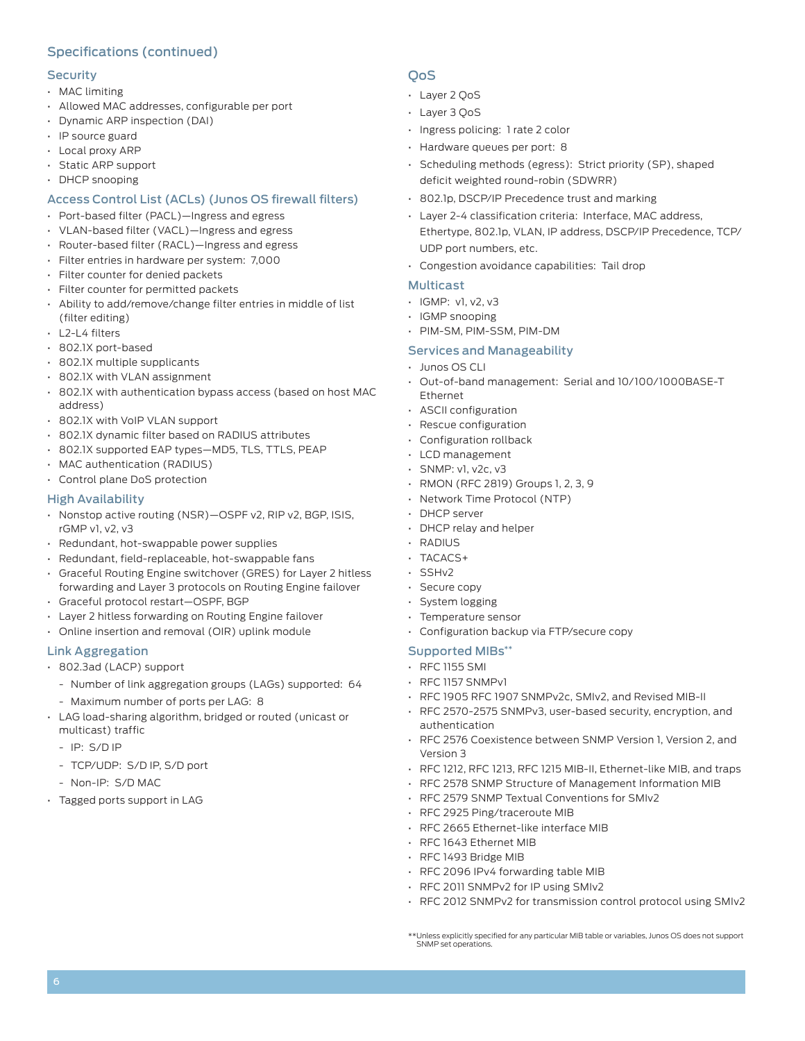# Specifications (continued)

#### **Security**

- MAC limiting
- Allowed MAC addresses, configurable per port
- Dynamic ARP inspection (DAI)
- IP source guard
- Local proxy ARP
- Static ARP support
- DHCP snooping

# Access Control List (ACLs) (Junos OS firewall filters)

- Port-based filter (PACL)—Ingress and egress
- VLAN-based filter (VACL)—Ingress and egress
- Router-based filter (RACL)—Ingress and egress
- Filter entries in hardware per system: 7,000
- Filter counter for denied packets
- Filter counter for permitted packets
- Ability to add/remove/change filter entries in middle of list (filter editing)
- L2-L4 filters
- 802.1X port-based
- 802.1X multiple supplicants
- 802.1X with VLAN assignment
- 802.1X with authentication bypass access (based on host MAC address)
- 802.1X with VoIP VLAN support
- 802.1X dynamic filter based on RADIUS attributes
- 802.1X supported EAP types—MD5, TLS, TTLS, PEAP
- MAC authentication (RADIUS)
- Control plane DoS protection

# High Availability

- Nonstop active routing (NSR)—OSPF v2, RIP v2, BGP, ISIS, rGMP v1, v2, v3
- Redundant, hot-swappable power supplies
- Redundant, field-replaceable, hot-swappable fans
- Graceful Routing Engine switchover (GRES) for Layer 2 hitless forwarding and Layer 3 protocols on Routing Engine failover
- Graceful protocol restart—OSPF, BGP
- Layer 2 hitless forwarding on Routing Engine failover
- Online insertion and removal (OIR) uplink module

# Link Aggregation

- 802.3ad (LACP) support
	- Number of link aggregation groups (LAGs) supported: 64
	- Maximum number of ports per LAG: 8
- LAG load-sharing algorithm, bridged or routed (unicast or multicast) traffic
	- IP: S/D IP
	- TCP/UDP: S/D IP, S/D port
	- Non-IP: S/D MAC
- Tagged ports support in LAG

# **OoS**

- Layer 2 QoS
- Layer 3 QoS
- Ingress policing: 1 rate 2 color
- Hardware queues per port: 8
- Scheduling methods (egress): Strict priority (SP), shaped deficit weighted round-robin (SDWRR)
- 802.1p, DSCP/IP Precedence trust and marking
- Layer 2-4 classification criteria: Interface, MAC address, Ethertype, 802.1p, VLAN, IP address, DSCP/IP Precedence, TCP/ UDP port numbers, etc.
- Congestion avoidance capabilities: Tail drop

# Multicast

- IGMP: v1, v2, v3
- IGMP snooping
- PIM-SM, PIM-SSM, PIM-DM

# Services and Manageability

- Junos OS CLI
- Out-of-band management: Serial and 10/100/1000BASE-T Ethernet
- ASCII configuration
- Rescue configuration
- Configuration rollback
- LCD management
- SNMP: v1, v2c, v3
- RMON (RFC 2819) Groups 1, 2, 3, 9
- Network Time Protocol (NTP)
- DHCP server
- DHCP relay and helper
- RADIUS
- TACACS+
- SSHv2
- Secure copy
- System logging
- Temperature sensor
- Configuration backup via FTP/secure copy

# Supported MIBs\*\*

- RFC 1155 SMI
- RFC 1157 SNMPv1
- RFC 1905 RFC 1907 SNMPv2c, SMIv2, and Revised MIB-II
- RFC 2570-2575 SNMPv3, user-based security, encryption, and authentication
- RFC 2576 Coexistence between SNMP Version 1, Version 2, and Version 3
- RFC 1212, RFC 1213, RFC 1215 MIB-II, Ethernet-like MIB, and traps
- RFC 2578 SNMP Structure of Management Information MIB
- RFC 2579 SNMP Textual Conventions for SMIv2
- RFC 2925 Ping/traceroute MIB
- RFC 2665 Ethernet-like interface MIB
- RFC 1643 Ethernet MIB
- RFC 1493 Bridge MIB
- RFC 2096 IPv4 forwarding table MIB
- RFC 2011 SNMPv2 for IP using SMIv2
- RFC 2012 SNMPv2 for transmission control protocol using SMIv2

<sup>\*\*</sup>Unless explicitly specified for any particular MIB table or variables, Junos OS does not support SNMP set operations.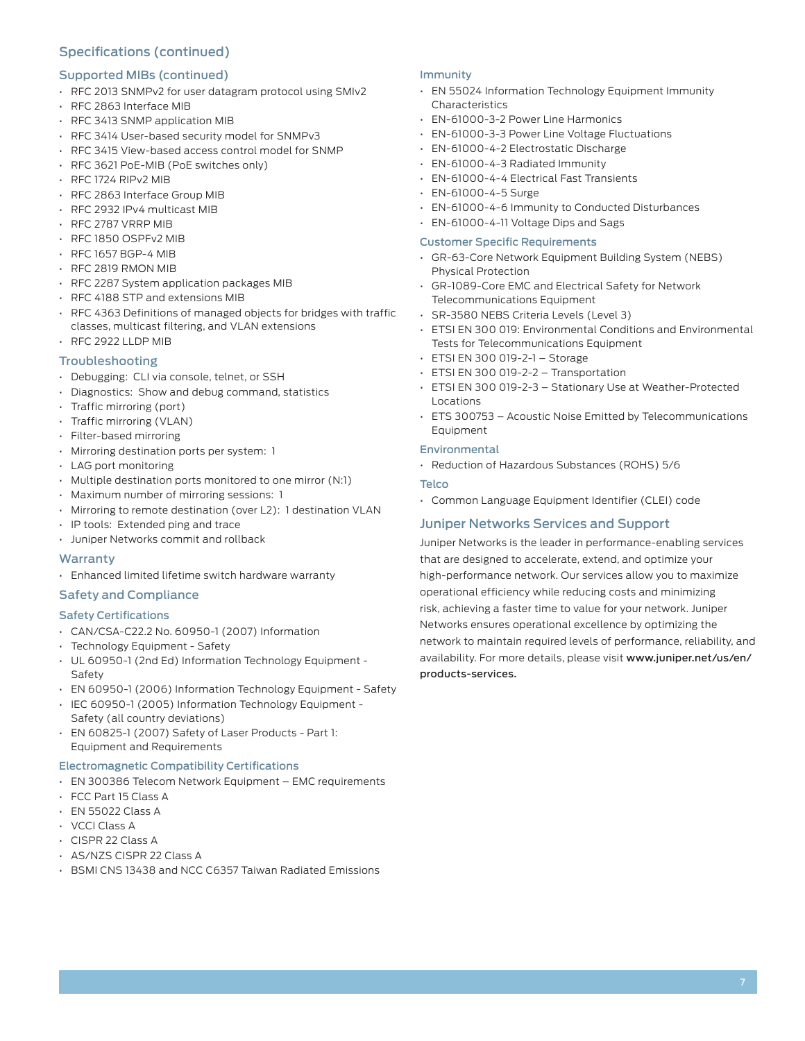# Specifications (continued)

#### Supported MIBs (continued)

- RFC 2013 SNMPv2 for user datagram protocol using SMIv2
- RFC 2863 Interface MIB
- RFC 3413 SNMP application MIB
- RFC 3414 User-based security model for SNMPv3
- RFC 3415 View-based access control model for SNMP
- RFC 3621 PoE-MIB (PoE switches only)
- RFC 1724 RIPv2 MIB
- RFC 2863 Interface Group MIB
- RFC 2932 IPv4 multicast MIB
- RFC 2787 VRRP MIB
- RFC 1850 OSPFv2 MIB
- RFC 1657 BGP-4 MIB
- RFC 2819 RMON MIB
- RFC 2287 System application packages MIB
- RFC 4188 STP and extensions MIB
- RFC 4363 Definitions of managed objects for bridges with traffic classes, multicast filtering, and VLAN extensions
- RFC 2922 LLDP MIB

#### Troubleshooting

- Debugging: CLI via console, telnet, or SSH
- Diagnostics: Show and debug command, statistics
- Traffic mirroring (port)
- Traffic mirroring (VLAN)
- Filter-based mirroring
- Mirroring destination ports per system: 1
- LAG port monitoring
- Multiple destination ports monitored to one mirror (N:1)
- Maximum number of mirroring sessions: 1
- Mirroring to remote destination (over L2): 1 destination VLAN
- IP tools: Extended ping and trace
- Juniper Networks commit and rollback

#### **Warranty**

• Enhanced limited lifetime switch hardware warranty

#### Safety and Compliance

#### Safety Certifications

- CAN/CSA-C22.2 No. 60950-1 (2007) Information
- Technology Equipment Safety
- UL 60950-1 (2nd Ed) Information Technology Equipment Safety
- EN 60950-1 (2006) Information Technology Equipment Safety
- IEC 60950-1 (2005) Information Technology Equipment Safety (all country deviations)
- EN 60825-1 (2007) Safety of Laser Products Part 1: Equipment and Requirements

#### Electromagnetic Compatibility Certifications

- EN 300386 Telecom Network Equipment EMC requirements
- FCC Part 15 Class A
- EN 55022 Class A
- VCCI Class A
- CISPR 22 Class A
- AS/NZS CISPR 22 Class A
- BSMI CNS 13438 and NCC C6357 Taiwan Radiated Emissions

#### Immunity

- EN 55024 Information Technology Equipment Immunity Characteristics
- EN-61000-3-2 Power Line Harmonics
- EN-61000-3-3 Power Line Voltage Fluctuations
- EN-61000-4-2 Electrostatic Discharge
- EN-61000-4-3 Radiated Immunity
- EN-61000-4-4 Electrical Fast Transients
- EN-61000-4-5 Surge
- EN-61000-4-6 Immunity to Conducted Disturbances
- EN-61000-4-11 Voltage Dips and Sags

#### Customer Specific Requirements

- GR-63-Core Network Equipment Building System (NEBS) Physical Protection
- GR-1089-Core EMC and Electrical Safety for Network Telecommunications Equipment
- SR-3580 NEBS Criteria Levels (Level 3)
- ETSI EN 300 019: Environmental Conditions and Environmental Tests for Telecommunications Equipment
- ETSI EN 300 019-2-1 Storage
- ETSI EN 300 019-2-2 Transportation
- ETSI EN 300 019-2-3 Stationary Use at Weather-Protected Locations
- ETS 300753 Acoustic Noise Emitted by Telecommunications Equipment

#### **Environmental**

• Reduction of Hazardous Substances (ROHS) 5/6

#### **Telco**

• Common Language Equipment Identifier (CLEI) code

# Juniper Networks Services and Support

Juniper Networks is the leader in performance-enabling services that are designed to accelerate, extend, and optimize your high-performance network. Our services allow you to maximize operational efficiency while reducing costs and minimizing risk, achieving a faster time to value for your network. Juniper Networks ensures operational excellence by optimizing the network to maintain required levels of performance, reliability, and availability. For more details, please visit www.juniper.net/us/en/ products-services.